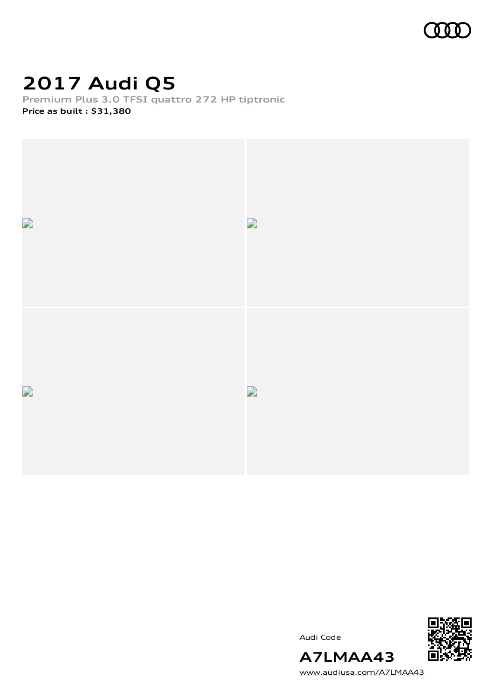

## **2017 Audi Q5**

**Premium Plus 3.0 TFSI quattro 272 HP tiptronic Price as built [:](#page-9-0) \$31,380**







[www.audiusa.com/A7LMAA43](https://www.audiusa.com/A7LMAA43)

**A7LMAA43**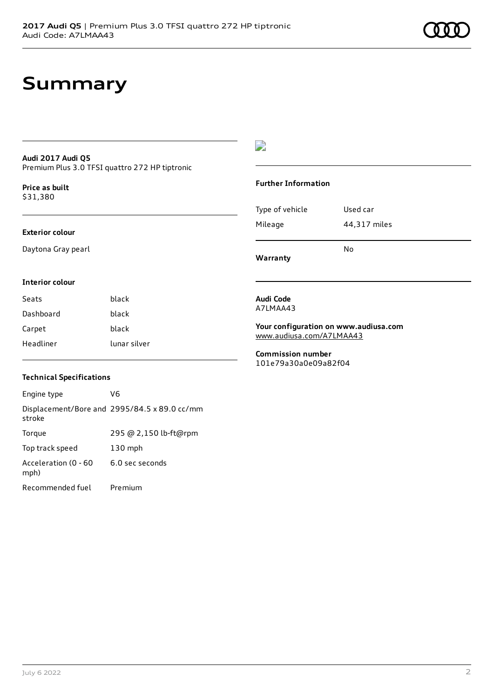## **Summary**

#### **Audi 2017 Audi Q5** Premium Plus 3.0 TFSI quattro 272 HP tiptronic

**Price as buil[t](#page-9-0)** \$31,380

#### **Exterior colour**

Daytona Gray pearl

#### $\overline{\phantom{a}}$

#### **Further Information**

| Warranty        |              |
|-----------------|--------------|
|                 | N٥           |
| Mileage         | 44,317 miles |
| Type of vehicle | Used car     |
|                 |              |

#### **Interior colour**

| Seats     | black        |
|-----------|--------------|
| Dashboard | black        |
| Carpet    | black        |
| Headliner | lunar silver |

#### **Technical Specifications**

| Engine type                  | V6                                           |
|------------------------------|----------------------------------------------|
| stroke                       | Displacement/Bore and 2995/84.5 x 89.0 cc/mm |
| Torque                       | 295 @ 2,150 lb-ft@rpm                        |
| Top track speed              | $130$ mph                                    |
| Acceleration (0 - 60<br>mph) | 6.0 sec seconds                              |
| Recommended fuel             | Premium                                      |

#### **Audi Code** A7LMAA43

**Your configuration on www.audiusa.com** [www.audiusa.com/A7LMAA43](https://www.audiusa.com/A7LMAA43)

**Commission number** 101e79a30a0e09a82f04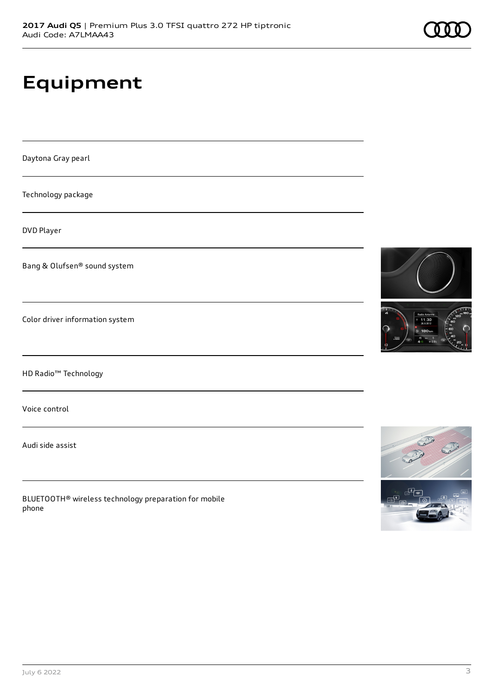# **Equipment**

Daytona Gray pearl

Technology package

DVD Player

Bang & Olufsen® sound system

Color driver information system

HD Radio™ Technology

Voice control

Audi side assist

BLUETOOTH® wireless technology preparation for mobile phone



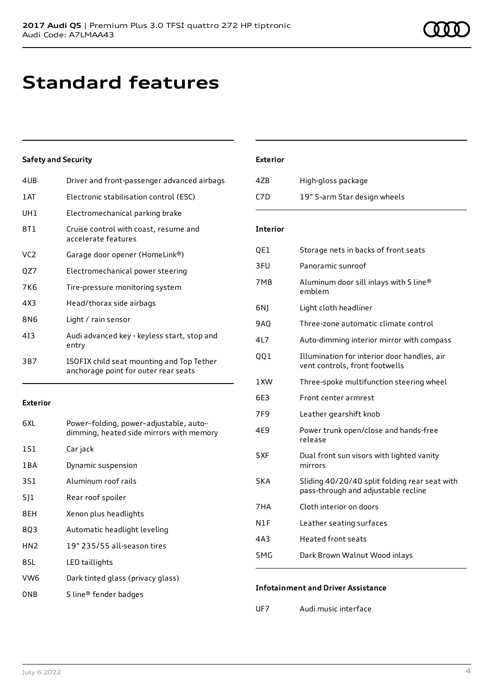## **Standard features**

#### **Safety and Security**

| 4UB | Driver and front-passenger advanced airbags                                       |
|-----|-----------------------------------------------------------------------------------|
| 1AT | Electronic stabilisation control (ESC)                                            |
| UH1 | Electromechanical parking brake                                                   |
| 8T1 | Cruise control with coast, resume and<br>accelerate features                      |
| VC2 | Garage door opener (HomeLink®)                                                    |
| QZ7 | Electromechanical power steering                                                  |
| 7K6 | Tire-pressure monitoring system                                                   |
| 4X3 | Head/thorax side airbags                                                          |
| 8N6 | Light / rain sensor                                                               |
| 413 | Audi advanced key - keyless start, stop and<br>entry                              |
| 3B7 | ISOFIX child seat mounting and Top Tether<br>anchorage point for outer rear seats |
|     |                                                                                   |

#### **Exterior**

| 6XL             | Power-folding, power-adjustable, auto-<br>dimming, heated side mirrors with memory |
|-----------------|------------------------------------------------------------------------------------|
| 1S1             | Car jack                                                                           |
| 1 B A           | Dynamic suspension                                                                 |
| 3S1             | Aluminum roof rails                                                                |
| 511             | Rear roof spoiler                                                                  |
| 8EH             | Xenon plus headlights                                                              |
| 8Q3             | Automatic headlight leveling                                                       |
| HN <sub>2</sub> | 19" 235/55 all-season tires                                                        |
| 8SL             | LED taillights                                                                     |
| VW <sub>6</sub> | Dark tinted glass (privacy glass)                                                  |
| 0NB             | S line <sup>®</sup> fender badges                                                  |

#### **Exterior**

| 4ZB  | High-gloss package           |
|------|------------------------------|
| C7D. | 19" 5-arm Star design wheels |

#### **Interior**

| QE1             | Storage nets in backs of front seats                                                 |
|-----------------|--------------------------------------------------------------------------------------|
| 3FU             | Panoramic sunroof                                                                    |
| 7M8             | Aluminum door sill inlays with S line®<br>emblem                                     |
| 6NJ             | Light cloth headliner                                                                |
| <b>9AQ</b>      | Three-zone automatic climate control                                                 |
| 4L7             | Auto-dimming interior mirror with compass                                            |
| QQ1             | Illumination for interior door handles, air<br>vent controls, front footwells        |
| 1XW             | Three-spoke multifunction steering wheel                                             |
| 6E3             | Front center armrest                                                                 |
| 7F <sub>9</sub> | Leather gearshift knob                                                               |
| 4E9             | Power trunk open/close and hands-free<br>release                                     |
| 5XF             | Dual front sun visors with lighted vanity<br>mirrors                                 |
| 5KA             | Sliding 40/20/40 split folding rear seat with<br>pass-through and adjustable recline |
| 7HA             | Cloth interior on doors                                                              |
| N1F             | Leather seating surfaces                                                             |
| 4A3             | <b>Heated front seats</b>                                                            |
| 5MG             | Dark Brown Walnut Wood inlays                                                        |

#### **Infotainment and Driver Assistance**

UF7 Audi music interface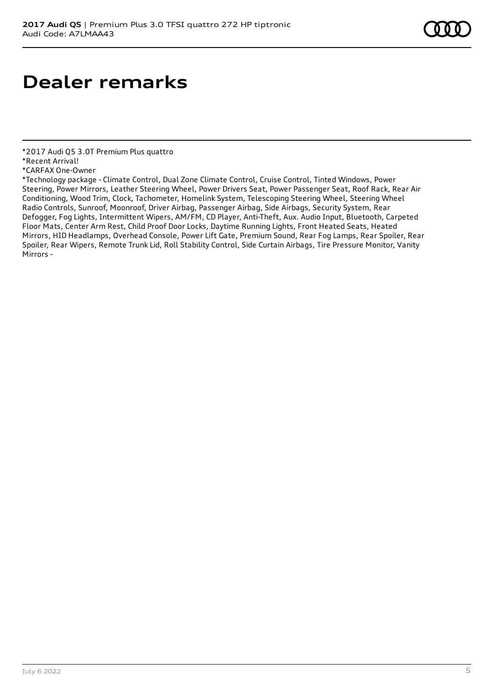# **Dealer remarks**

\*2017 Audi Q5 3.0T Premium Plus quattro

\*CARFAX One-Owner

\*Technology package - Climate Control, Dual Zone Climate Control, Cruise Control, Tinted Windows, Power Steering, Power Mirrors, Leather Steering Wheel, Power Drivers Seat, Power Passenger Seat, Roof Rack, Rear Air Conditioning, Wood Trim, Clock, Tachometer, Homelink System, Telescoping Steering Wheel, Steering Wheel Radio Controls, Sunroof, Moonroof, Driver Airbag, Passenger Airbag, Side Airbags, Security System, Rear Defogger, Fog Lights, Intermittent Wipers, AM/FM, CD Player, Anti-Theft, Aux. Audio Input, Bluetooth, Carpeted Floor Mats, Center Arm Rest, Child Proof Door Locks, Daytime Running Lights, Front Heated Seats, Heated Mirrors, HID Headlamps, Overhead Console, Power Lift Gate, Premium Sound, Rear Fog Lamps, Rear Spoiler, Rear Spoiler, Rear Wipers, Remote Trunk Lid, Roll Stability Control, Side Curtain Airbags, Tire Pressure Monitor, Vanity Mirrors -

<sup>\*</sup>Recent Arrival!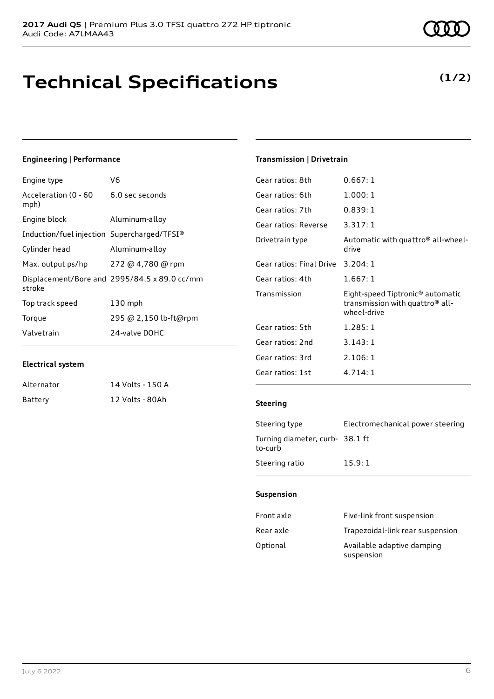### **Technical Specifications**

#### **Engineering | Performance**

| V6                                           |
|----------------------------------------------|
| 6.0 sec seconds                              |
| Aluminum-alloy                               |
| Induction/fuel injection Supercharged/TFSI®  |
| Aluminum-alloy                               |
| 272 @ 4,780 @ rpm                            |
| Displacement/Bore and 2995/84.5 x 89.0 cc/mm |
| 130 mph                                      |
| 295 @ 2,150 lb-ft@rpm                        |
| 24-valve DOHC                                |
|                                              |

#### **Electrical system**

| Alternator | 14 Volts - 150 A |
|------------|------------------|
| Battery    | 12 Volts - 80Ah  |

#### **Transmission | Drivetrain**

| Gear ratios: 8th         | 0.667:1                                                                                        |
|--------------------------|------------------------------------------------------------------------------------------------|
| Gear ratios: 6th         | 1.000:1                                                                                        |
| Gear ratios: 7th         | 0.839:1                                                                                        |
| Gear ratios: Reverse     | 3.317:1                                                                                        |
| Drivetrain type          | Automatic with quattro <sup>®</sup> all-wheel-<br>drive                                        |
| Gear ratios: Final Drive | 3.204:1                                                                                        |
| Gear ratios: 4th         | 1.667:1                                                                                        |
| Transmission             | Eight-speed Tiptronic® automatic<br>transmission with quattro <sup>®</sup> all-<br>wheel-drive |
| Gear ratios: 5th         | 1.285:1                                                                                        |
| Gear ratios: 2nd         | 3.143:1                                                                                        |
| Gear ratios: 3rd         | 2.106:1                                                                                        |
| Gear ratios: 1st         | 4.714:1                                                                                        |

#### **Steering**

| Steering type                             | Electromechanical power steering |
|-------------------------------------------|----------------------------------|
| Turning diameter, curb-38.1 ft<br>to-curb |                                  |
| Steering ratio                            | 15.9:1                           |

#### **Suspension**

| Front axle | Five-link front suspension               |
|------------|------------------------------------------|
| Rear axle  | Trapezoidal-link rear suspension         |
| Optional   | Available adaptive damping<br>suspension |

### **(1/2)**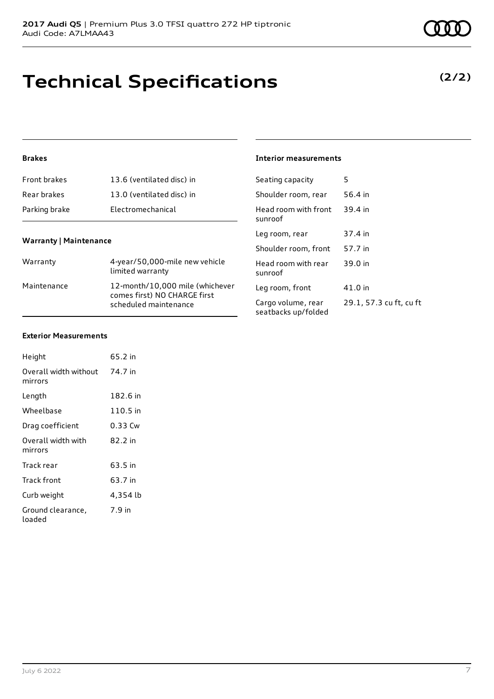# **Technical Specifications**

#### **Brakes**

| <b>Front brakes</b> | 13.6 (ventilated disc) in |
|---------------------|---------------------------|
| Rear brakes         | 13.0 (ventilated disc) in |
| Parking brake       | Electromechanical         |

#### **Warranty | Maintenance**

| Warranty    | 4-year/50,000-mile new vehicle<br>limited warranty                                       |
|-------------|------------------------------------------------------------------------------------------|
| Maintenance | 12-month/10,000 mile (whichever<br>comes first) NO CHARGE first<br>scheduled maintenance |

### **Interior measurements**

| Seating capacity                          | 5                       |
|-------------------------------------------|-------------------------|
| Shoulder room, rear                       | 56.4 in                 |
| Head room with front<br>sunroof           | 39.4 in                 |
| Leg room, rear                            | 37.4 in                 |
| Shoulder room, front                      | 57.7 in                 |
| Head room with rear<br>sunroof            | 39.0 in                 |
| Leg room, front                           | 41.0 in                 |
| Cargo volume, rear<br>seatbacks up/folded | 29.1, 57.3 cu ft, cu ft |

#### **Exterior Measurements**

| Height                           | 65.2 in  |
|----------------------------------|----------|
| Overall width without<br>mirrors | 74.7 in  |
| Length                           | 182.6 in |
| Wheelbase                        | 110.5 in |
| Drag coefficient                 | 0.33 Cw  |
| Overall width with<br>mirrors    | 82.2 in  |
| Track rear                       | 63.5 in  |
| Track front                      | 63.7 in  |
| Curb weight                      | 4,354 lb |
| Ground clearance,<br>loaded      | 7.9 in   |

### **(2/2)**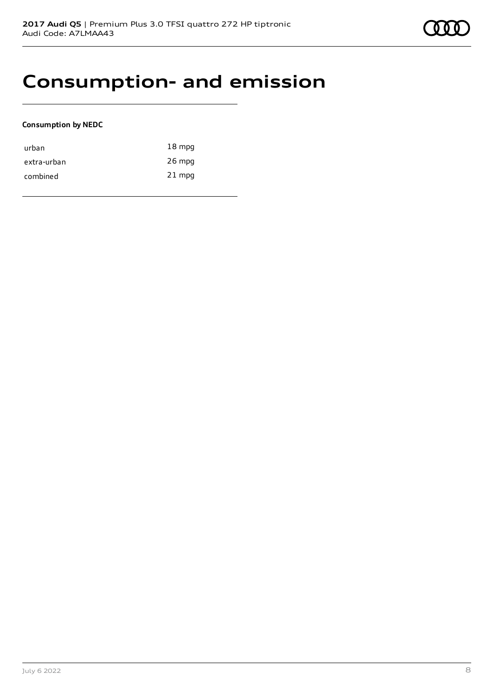### **Consumption- and emission**

#### **Consumption by NEDC**

| urban       | $18 \text{ mpg}$ |
|-------------|------------------|
| extra-urban | $26$ mpg         |
| combined    | $21$ mpg         |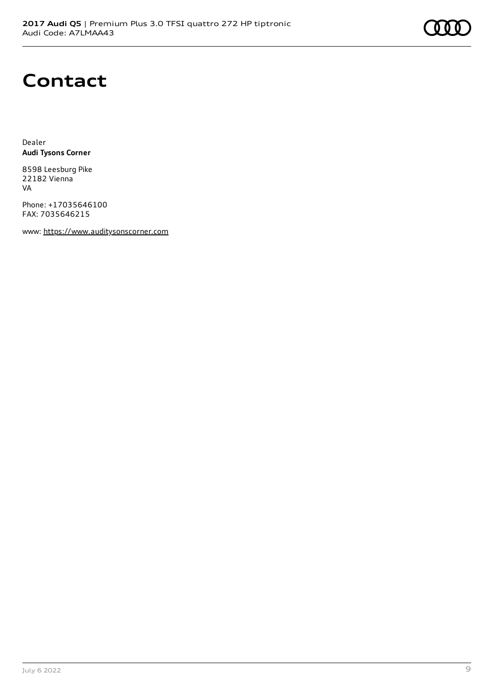

### **Contact**

Dealer **Audi Tysons Corner**

8598 Leesburg Pike 22182 Vienna VA

Phone: +17035646100 FAX: 7035646215

www: [https://www.auditysonscorner.com](https://www.auditysonscorner.com/)